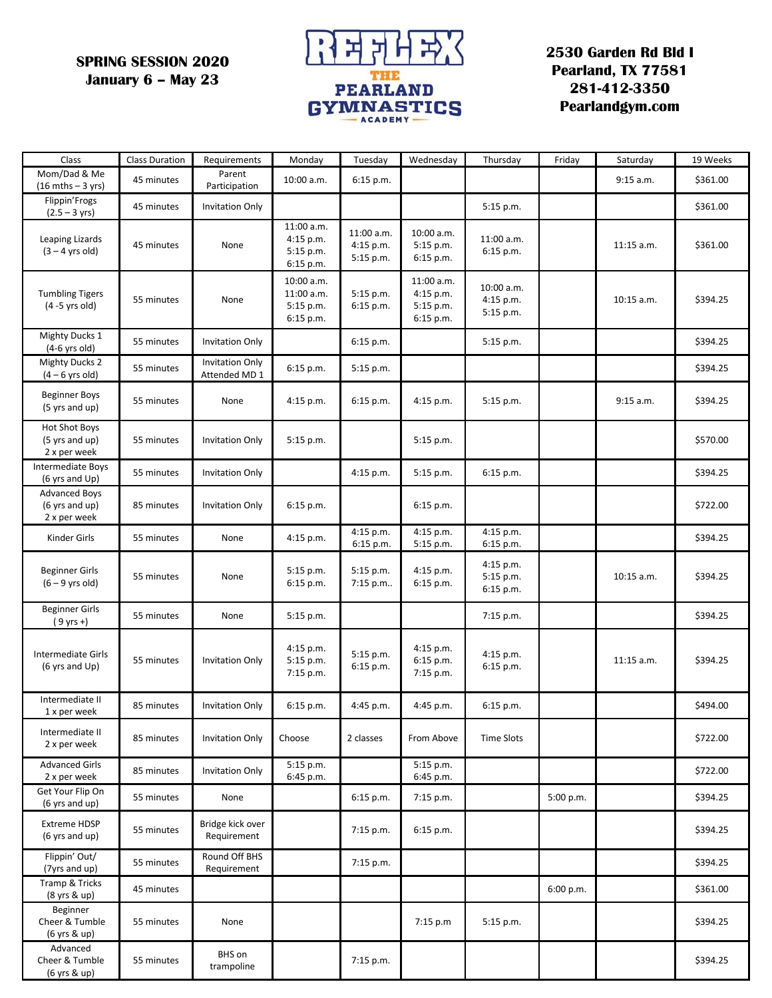**SPRING SESSION 2020 January 6 – May 23**



**2530 Garden Rd Bld I Pearland, TX 77581 281-412-3350 Pearlandgym.com**

| Class                                                  | <b>Class Duration</b> | Requirements                            | Monday                                             | Tuesday                              | Wednesday                                         | Thursday                             | Friday    | Saturday     | 19 Weeks |
|--------------------------------------------------------|-----------------------|-----------------------------------------|----------------------------------------------------|--------------------------------------|---------------------------------------------------|--------------------------------------|-----------|--------------|----------|
| Mom/Dad & Me<br>$(16 \text{ mths} - 3 \text{ yrs})$    | 45 minutes            | Parent<br>Participation                 | 10:00 a.m.                                         | 6:15 p.m.                            |                                                   |                                      |           | 9:15 a.m.    | \$361.00 |
| Flippin'Frogs<br>$(2.5 - 3 \text{ yrs})$               | 45 minutes            | <b>Invitation Only</b>                  |                                                    |                                      |                                                   | 5:15 p.m.                            |           |              | \$361.00 |
| Leaping Lizards<br>$(3 - 4$ yrs old)                   | 45 minutes            | None                                    | 11:00 a.m.<br>4:15 p.m.<br>5:15 p.m.<br>6:15 p.m.  | 11:00 a.m.<br>4:15 p.m.<br>5:15 p.m. | 10:00 a.m.<br>5:15 p.m.<br>6:15 p.m.              | 11:00 a.m.<br>6:15 p.m.              |           | $11:15$ a.m. | \$361.00 |
| <b>Tumbling Tigers</b><br>$(4 - 5$ yrs old)            | 55 minutes            | None                                    | 10:00 a.m.<br>11:00 a.m.<br>5:15 p.m.<br>6:15 p.m. | 5:15 p.m.<br>$6:15$ p.m.             | 11:00 a.m.<br>4:15 p.m.<br>5:15 p.m.<br>6:15 p.m. | 10:00 a.m.<br>4:15 p.m.<br>5:15 p.m. |           | 10:15 a.m.   | \$394.25 |
| Mighty Ducks 1<br>$(4-6$ yrs old)                      | 55 minutes            | <b>Invitation Only</b>                  |                                                    | $6:15$ p.m.                          |                                                   | 5:15 p.m.                            |           |              | \$394.25 |
| <b>Mighty Ducks 2</b><br>$(4 - 6$ yrs old)             | 55 minutes            | <b>Invitation Only</b><br>Attended MD 1 | 6:15 p.m.                                          | 5:15 p.m.                            |                                                   |                                      |           |              | \$394.25 |
| <b>Beginner Boys</b><br>(5 yrs and up)                 | 55 minutes            | None                                    | 4:15 p.m.                                          | 6:15 p.m.                            | 4:15 p.m.                                         | 5:15 p.m.                            |           | 9:15 a.m.    | \$394.25 |
| <b>Hot Shot Boys</b><br>(5 yrs and up)<br>2 x per week | 55 minutes            | <b>Invitation Only</b>                  | 5:15 p.m.                                          |                                      | 5:15 p.m.                                         |                                      |           |              | \$570.00 |
| Intermediate Boys<br>(6 yrs and Up)                    | 55 minutes            | <b>Invitation Only</b>                  |                                                    | 4:15 p.m.                            | 5:15 p.m.                                         | 6:15 p.m.                            |           |              | \$394.25 |
| <b>Advanced Boys</b><br>(6 yrs and up)<br>2 x per week | 85 minutes            | <b>Invitation Only</b>                  | 6:15 p.m.                                          |                                      | 6:15 p.m.                                         |                                      |           |              | \$722.00 |
| Kinder Girls                                           | 55 minutes            | None                                    | 4:15 p.m.                                          | 4:15 p.m.<br>6:15 p.m.               | 4:15 p.m.<br>5:15 p.m.                            | 4:15 p.m.<br>6:15 p.m.               |           |              | \$394.25 |
| Beginner Girls<br>$(6 - 9$ yrs old)                    | 55 minutes            | None                                    | 5:15 p.m.<br>6:15 p.m.                             | 5:15 p.m.<br>7:15 p.m                | 4:15 p.m.<br>6:15 p.m.                            | 4:15 p.m.<br>5:15 p.m.<br>6:15 p.m.  |           | 10:15 a.m.   | \$394.25 |
| <b>Beginner Girls</b><br>$(9 \text{ yrs +})$           | 55 minutes            | None                                    | 5:15 p.m.                                          |                                      |                                                   | 7:15 p.m.                            |           |              | \$394.25 |
| Intermediate Girls<br>$(6 \text{ yrs and Up})$         | 55 minutes            | <b>Invitation Only</b>                  | $4:15$ p.m.<br>5:15 p.m.<br>$7:15$ p.m.            | 5:15 p.m.<br>6:15 p.m.               | 4:15 p.m.<br>6:15 p.m.<br>7:15 p.m.               | 4:15 p.m.<br>6:15 p.m.               |           | $11:15$ a.m. | \$394.25 |
| Intermediate II<br>1 x per week                        | 85 minutes            | <b>Invitation Only</b>                  | 6:15 p.m.                                          | 4:45 p.m.                            | 4:45 p.m.                                         | 6:15 p.m.                            |           |              | \$494.00 |
| Intermediate II<br>2 x per week                        | 85 minutes            | <b>Invitation Only</b>                  | Choose                                             | 2 classes                            | From Above                                        | <b>Time Slots</b>                    |           |              | \$722.00 |
| <b>Advanced Girls</b><br>2 x per week                  | 85 minutes            | <b>Invitation Only</b>                  | $5:15$ p.m.<br>6:45 p.m.                           |                                      | 5:15 p.m.<br>6:45 p.m.                            |                                      |           |              | \$722.00 |
| Get Your Flip On<br>(6 yrs and up)                     | 55 minutes            | None                                    |                                                    | $6:15$ p.m.                          | 7:15 p.m.                                         |                                      | 5:00 p.m. |              | \$394.25 |
| <b>Extreme HDSP</b><br>(6 yrs and up)                  | 55 minutes            | Bridge kick over<br>Requirement         |                                                    | 7:15 p.m.                            | 6:15 p.m.                                         |                                      |           |              | \$394.25 |
| Flippin' Out/<br>(7yrs and up)                         | 55 minutes            | Round Off BHS<br>Requirement            |                                                    | 7:15 p.m.                            |                                                   |                                      |           |              | \$394.25 |
| Tramp & Tricks<br>(8 yrs & up)                         | 45 minutes            |                                         |                                                    |                                      |                                                   |                                      | 6:00 p.m. |              | \$361.00 |
| Beginner<br>Cheer & Tumble<br>(6 yrs & up)             | 55 minutes            | None                                    |                                                    |                                      | 7:15 p.m                                          | 5:15 p.m.                            |           |              | \$394.25 |
| Advanced<br>Cheer & Tumble<br>(6 yrs & up)             | 55 minutes            | BHS on<br>trampoline                    |                                                    | 7:15 p.m.                            |                                                   |                                      |           |              | \$394.25 |